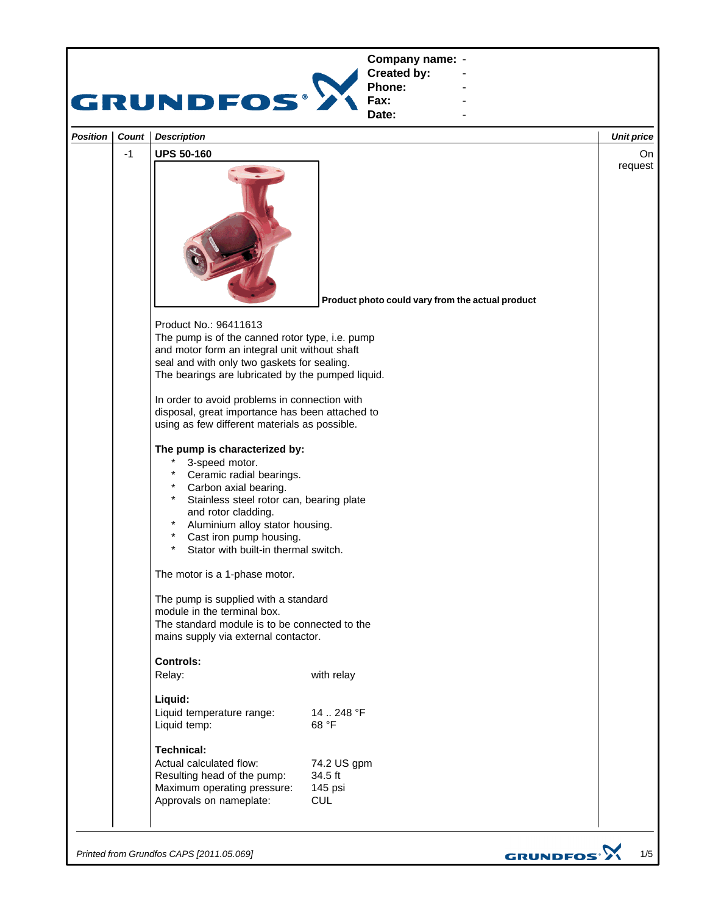

*Printed from Grundfos CAPS [2011.05.069]*

GRUNDFOS<sup>.</sup>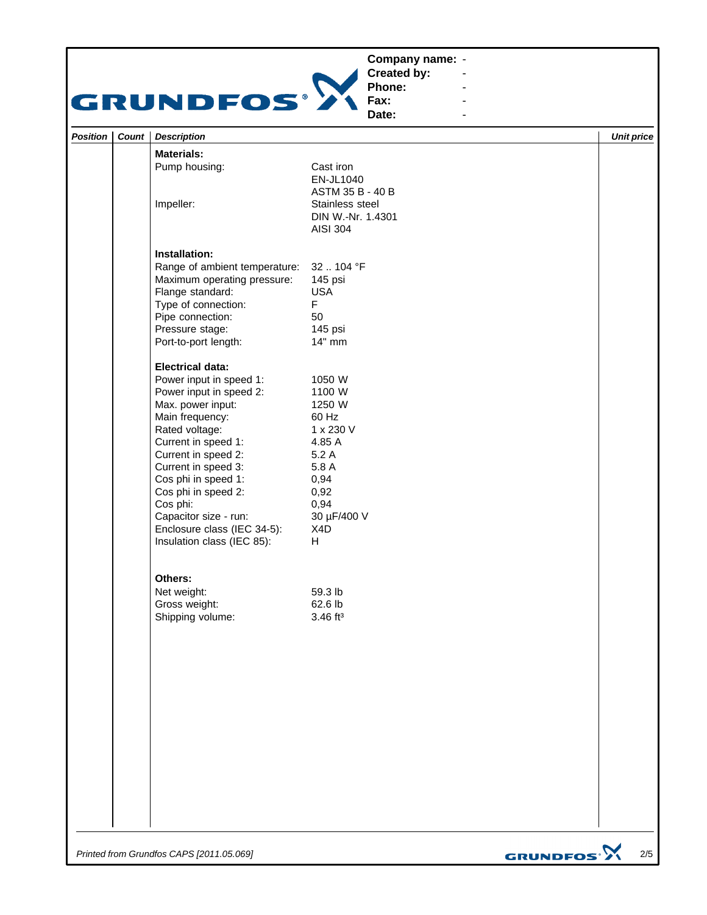## **Company name: -** Construction of the construction



**Created by: Phone: Fax:**

**Date: -** Construction of the construction

**-** Andrew March 2014 **-** Andrew March 2014 **-** Andrew March 2014

| Position | Count | <b>Description</b>                                        |                                                         |                             | <b>Unit price</b> |
|----------|-------|-----------------------------------------------------------|---------------------------------------------------------|-----------------------------|-------------------|
|          |       | <b>Materials:</b>                                         |                                                         |                             |                   |
|          |       | Pump housing:                                             | Cast iron<br>EN-JL1040<br>ASTM 35 B - 40 B              |                             |                   |
|          |       | Impeller:                                                 | Stainless steel<br>DIN W.-Nr. 1.4301<br><b>AISI 304</b> |                             |                   |
|          |       | Installation:                                             |                                                         |                             |                   |
|          |       | Range of ambient temperature:                             | 32104 °F                                                |                             |                   |
|          |       | Maximum operating pressure:                               | 145 psi                                                 |                             |                   |
|          |       | Flange standard:                                          | <b>USA</b><br>$\mathsf F$                               |                             |                   |
|          |       | Type of connection:<br>Pipe connection:                   | 50                                                      |                             |                   |
|          |       | Pressure stage:                                           | 145 psi                                                 |                             |                   |
|          |       | Port-to-port length:                                      | 14" mm                                                  |                             |                   |
|          |       | <b>Electrical data:</b>                                   |                                                         |                             |                   |
|          |       | Power input in speed 1:                                   | 1050 W                                                  |                             |                   |
|          |       | Power input in speed 2:                                   | 1100 W                                                  |                             |                   |
|          |       | Max. power input:<br>Main frequency:                      | 1250 W<br>60 Hz                                         |                             |                   |
|          |       | Rated voltage:                                            | 1 x 230 V                                               |                             |                   |
|          |       | Current in speed 1:                                       | 4.85 A                                                  |                             |                   |
|          |       | Current in speed 2:                                       | 5.2 A                                                   |                             |                   |
|          |       | Current in speed 3:                                       | 5.8 A                                                   |                             |                   |
|          |       | Cos phi in speed 1:                                       | 0,94                                                    |                             |                   |
|          |       | Cos phi in speed 2:                                       | 0,92                                                    |                             |                   |
|          |       | Cos phi:                                                  | 0,94                                                    |                             |                   |
|          |       | Capacitor size - run:                                     | 30 µF/400 V                                             |                             |                   |
|          |       | Enclosure class (IEC 34-5):<br>Insulation class (IEC 85): | X4D<br>H                                                |                             |                   |
|          |       | Others:                                                   |                                                         |                             |                   |
|          |       | Net weight:                                               | 59.3 lb                                                 |                             |                   |
|          |       | Gross weight:                                             | 62.6 lb                                                 |                             |                   |
|          |       | Shipping volume:                                          | $3.46$ ft <sup>3</sup>                                  |                             |                   |
|          |       |                                                           |                                                         |                             |                   |
|          |       |                                                           |                                                         |                             |                   |
|          |       |                                                           |                                                         |                             |                   |
|          |       |                                                           |                                                         |                             |                   |
|          |       |                                                           |                                                         |                             |                   |
|          |       |                                                           |                                                         |                             |                   |
|          |       |                                                           |                                                         |                             |                   |
|          |       |                                                           |                                                         |                             |                   |
|          |       |                                                           |                                                         |                             |                   |
|          |       |                                                           |                                                         |                             |                   |
|          |       | Printed from Grundfos CAPS [2011.05.069]                  |                                                         | <b>GRUNDFOS<sup>.</sup></b> | $2/5$             |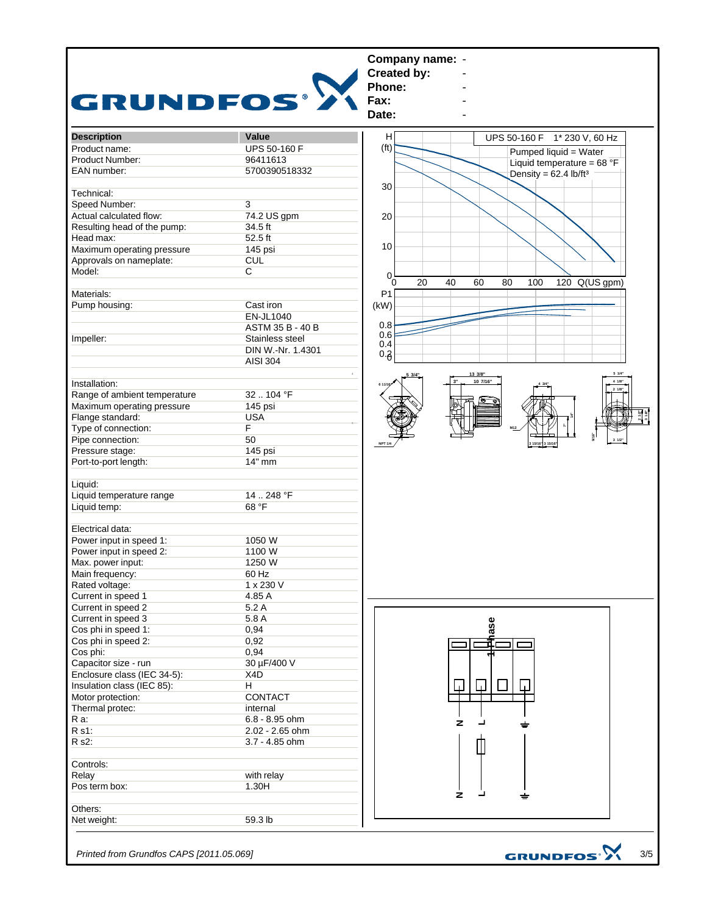

*Printed from Grundfos CAPS [2011.05.069]*

3/5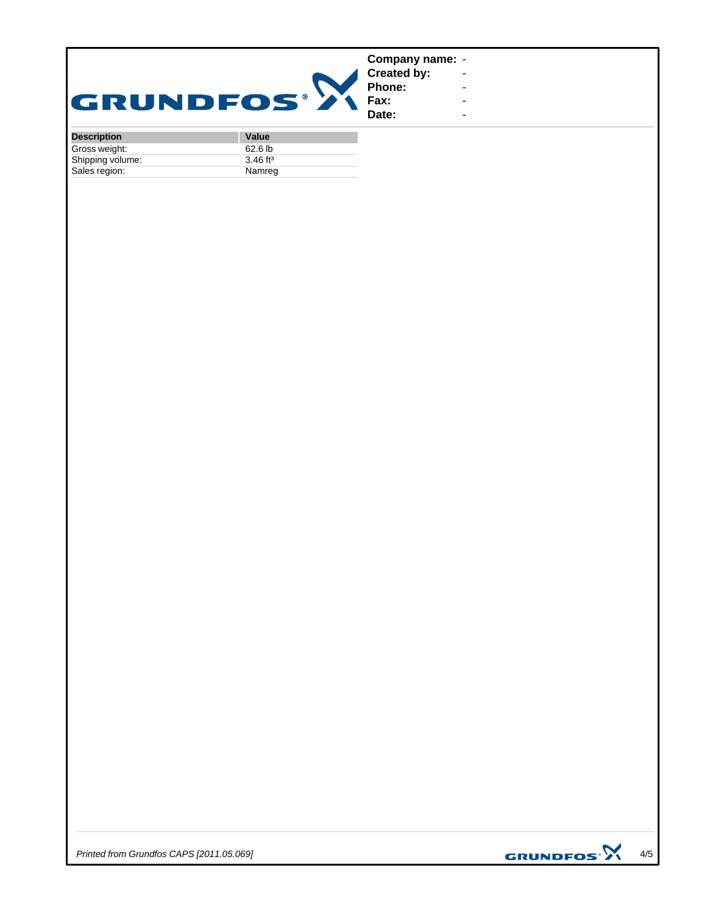| GRUNDFOS® 2          |                           | Company name: -<br><b>Created by:</b><br>Phone:<br>Fax:<br>Date: | ٠ |
|----------------------|---------------------------|------------------------------------------------------------------|---|
| <b>December 1974</b> | $U_{\alpha}$ <sub>1</sub> |                                                                  |   |

| <b>Description</b> | <b>Value</b>           |
|--------------------|------------------------|
| Gross weight:      | 62.6 <sub>lb</sub>     |
| Shipping volume:   | $3.46$ ft <sup>3</sup> |
| Sales region:      | Namreg                 |

*Printed from Grundfos CAPS [2011.05.069]*